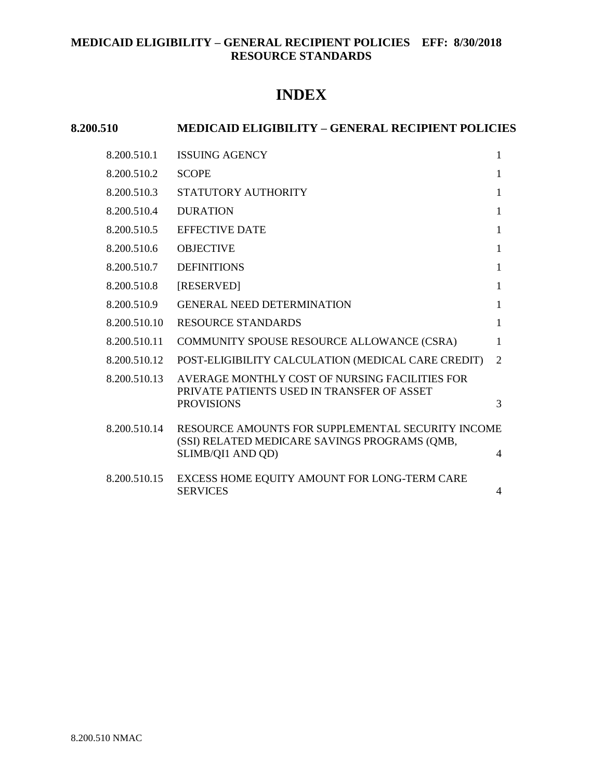# **INDEX**

| 8.200.510    | <b>MEDICAID ELIGIBILITY - GENERAL RECIPIENT POLICIES</b>                                     |                |  |
|--------------|----------------------------------------------------------------------------------------------|----------------|--|
| 8.200.510.1  | <b>ISSUING AGENCY</b>                                                                        | 1              |  |
| 8.200.510.2  | <b>SCOPE</b>                                                                                 | 1              |  |
| 8.200.510.3  | STATUTORY AUTHORITY                                                                          | 1              |  |
| 8.200.510.4  | <b>DURATION</b>                                                                              | 1              |  |
| 8.200.510.5  | <b>EFFECTIVE DATE</b>                                                                        | 1              |  |
| 8.200.510.6  | <b>OBJECTIVE</b>                                                                             | 1              |  |
| 8.200.510.7  | <b>DEFINITIONS</b>                                                                           | 1              |  |
| 8.200.510.8  | [RESERVED]                                                                                   | 1              |  |
| 8.200.510.9  | <b>GENERAL NEED DETERMINATION</b>                                                            | 1              |  |
| 8.200.510.10 | <b>RESOURCE STANDARDS</b>                                                                    | 1              |  |
| 8.200.510.11 | COMMUNITY SPOUSE RESOURCE ALLOWANCE (CSRA)                                                   | 1              |  |
| 8.200.510.12 | POST-ELIGIBILITY CALCULATION (MEDICAL CARE CREDIT)                                           | $\overline{2}$ |  |
| 8.200.510.13 | AVERAGE MONTHLY COST OF NURSING FACILITIES FOR<br>PRIVATE PATIENTS USED IN TRANSFER OF ASSET |                |  |
|              | <b>PROVISIONS</b>                                                                            | 3              |  |
| 8.200.510.14 | RESOURCE AMOUNTS FOR SUPPLEMENTAL SECURITY INCOME                                            |                |  |
|              | (SSI) RELATED MEDICARE SAVINGS PROGRAMS (QMB,<br>SLIMB/QI1 AND QD)                           | $\overline{4}$ |  |
| 8.200.510.15 | EXCESS HOME EQUITY AMOUNT FOR LONG-TERM CARE                                                 |                |  |
|              | <b>SERVICES</b>                                                                              | $\overline{4}$ |  |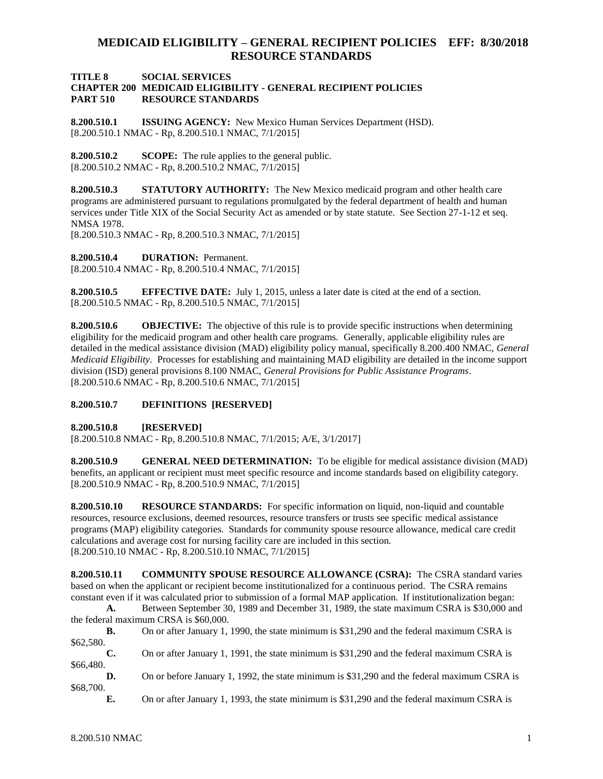#### **TITLE 8 SOCIAL SERVICES CHAPTER 200 MEDICAID ELIGIBILITY - GENERAL RECIPIENT POLICIES PART 510 RESOURCE STANDARDS**

<span id="page-1-0"></span>**8.200.510.1 ISSUING AGENCY:** New Mexico Human Services Department (HSD). [8.200.510.1 NMAC - Rp, 8.200.510.1 NMAC, 7/1/2015]

<span id="page-1-1"></span>**8.200.510.2 SCOPE:** The rule applies to the general public. [8.200.510.2 NMAC - Rp, 8.200.510.2 NMAC, 7/1/2015]

<span id="page-1-2"></span>**8.200.510.3 STATUTORY AUTHORITY:** The New Mexico medicaid program and other health care programs are administered pursuant to regulations promulgated by the federal department of health and human services under Title XIX of the Social Security Act as amended or by state statute. See Section 27-1-12 et seq. NMSA 1978.

[8.200.510.3 NMAC - Rp, 8.200.510.3 NMAC, 7/1/2015]

<span id="page-1-3"></span>**8.200.510.4 DURATION:** Permanent.

[8.200.510.4 NMAC - Rp, 8.200.510.4 NMAC, 7/1/2015]

<span id="page-1-4"></span>**8.200.510.5 EFFECTIVE DATE:** July 1, 2015, unless a later date is cited at the end of a section. [8.200.510.5 NMAC - Rp, 8.200.510.5 NMAC, 7/1/2015]

<span id="page-1-5"></span>**8.200.510.6 OBJECTIVE:** The objective of this rule is to provide specific instructions when determining eligibility for the medicaid program and other health care programs. Generally, applicable eligibility rules are detailed in the medical assistance division (MAD) eligibility policy manual, specifically 8.200.400 NMAC, *General Medicaid Eligibility*. Processes for establishing and maintaining MAD eligibility are detailed in the income support division (ISD) general provisions 8.100 NMAC, *General Provisions for Public Assistance Programs*. [8.200.510.6 NMAC - Rp, 8.200.510.6 NMAC, 7/1/2015]

### <span id="page-1-6"></span>**8.200.510.7 DEFINITIONS [RESERVED]**

<span id="page-1-7"></span>**8.200.510.8 [RESERVED]**

[8.200.510.8 NMAC - Rp, 8.200.510.8 NMAC, 7/1/2015; A/E, 3/1/2017]

<span id="page-1-8"></span>**8.200.510.9 GENERAL NEED DETERMINATION:** To be eligible for medical assistance division (MAD) benefits, an applicant or recipient must meet specific resource and income standards based on eligibility category. [8.200.510.9 NMAC - Rp, 8.200.510.9 NMAC, 7/1/2015]

<span id="page-1-9"></span>**8.200.510.10 RESOURCE STANDARDS:** For specific information on liquid, non-liquid and countable resources, resource exclusions, deemed resources, resource transfers or trusts see specific medical assistance programs (MAP) eligibility categories. Standards for community spouse resource allowance, medical care credit calculations and average cost for nursing facility care are included in this section. [8.200.510.10 NMAC - Rp, 8.200.510.10 NMAC, 7/1/2015]

<span id="page-1-10"></span>**8.200.510.11 COMMUNITY SPOUSE RESOURCE ALLOWANCE (CSRA):** The CSRA standard varies based on when the applicant or recipient become institutionalized for a continuous period. The CSRA remains constant even if it was calculated prior to submission of a formal MAP application. If institutionalization began:

**A.** Between September 30, 1989 and December 31, 1989, the state maximum CSRA is \$30,000 and the federal maximum CRSA is \$60,000.

**B.** On or after January 1, 1990, the state minimum is \$31,290 and the federal maximum CSRA is \$62,580.

**C.** On or after January 1, 1991, the state minimum is \$31,290 and the federal maximum CSRA is \$66,480.

**D.** On or before January 1, 1992, the state minimum is \$31,290 and the federal maximum CSRA is \$68,700.

**E.** On or after January 1, 1993, the state minimum is \$31,290 and the federal maximum CSRA is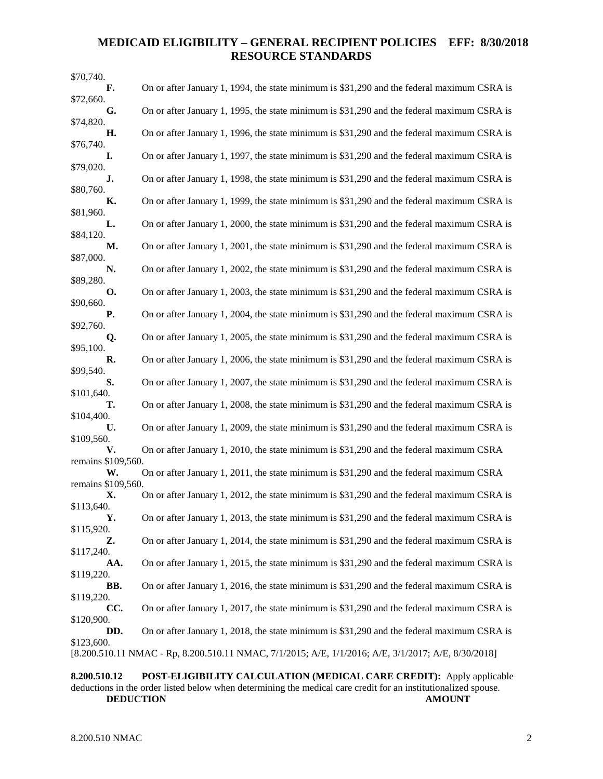| \$70,740.                |                                                                                                     |
|--------------------------|-----------------------------------------------------------------------------------------------------|
| F.                       | On or after January 1, 1994, the state minimum is \$31,290 and the federal maximum CSRA is          |
| \$72,660.<br>G.          | On or after January 1, 1995, the state minimum is \$31,290 and the federal maximum CSRA is          |
| \$74,820.                |                                                                                                     |
| Н.                       | On or after January 1, 1996, the state minimum is \$31,290 and the federal maximum CSRA is          |
| \$76,740.<br>I.          | On or after January 1, 1997, the state minimum is \$31,290 and the federal maximum CSRA is          |
| \$79,020.                |                                                                                                     |
| J.<br>\$80,760.          | On or after January 1, 1998, the state minimum is \$31,290 and the federal maximum CSRA is          |
| К.                       | On or after January 1, 1999, the state minimum is \$31,290 and the federal maximum CSRA is          |
| \$81,960.<br>L.          | On or after January 1, 2000, the state minimum is \$31,290 and the federal maximum CSRA is          |
| \$84,120.<br>М.          | On or after January 1, 2001, the state minimum is \$31,290 and the federal maximum CSRA is          |
| \$87,000.<br>N.          | On or after January 1, 2002, the state minimum is \$31,290 and the federal maximum CSRA is          |
| \$89,280.                |                                                                                                     |
| <b>O.</b><br>\$90,660.   | On or after January 1, 2003, the state minimum is \$31,290 and the federal maximum CSRA is          |
| <b>P.</b>                | On or after January 1, 2004, the state minimum is \$31,290 and the federal maximum CSRA is          |
| \$92,760.<br>Q.          | On or after January 1, 2005, the state minimum is \$31,290 and the federal maximum CSRA is          |
| \$95,100.                |                                                                                                     |
| R.<br>\$99,540.          | On or after January 1, 2006, the state minimum is \$31,290 and the federal maximum CSRA is          |
| S.                       | On or after January 1, 2007, the state minimum is \$31,290 and the federal maximum CSRA is          |
| \$101,640.<br>т.         | On or after January 1, 2008, the state minimum is \$31,290 and the federal maximum CSRA is          |
| \$104,400.<br>U.         | On or after January 1, 2009, the state minimum is \$31,290 and the federal maximum CSRA is          |
| \$109,560.               |                                                                                                     |
| V.<br>remains \$109,560. | On or after January 1, 2010, the state minimum is \$31,290 and the federal maximum CSRA             |
| W.                       | On or after January 1, 2011, the state minimum is \$31,290 and the federal maximum CSRA             |
| remains \$109,560.       |                                                                                                     |
| Х.<br>\$113,640.         | On or after January 1, 2012, the state minimum is \$31,290 and the federal maximum CSRA is          |
| Υ.                       | On or after January 1, 2013, the state minimum is \$31,290 and the federal maximum CSRA is          |
| \$115,920.<br>Z.         | On or after January 1, 2014, the state minimum is \$31,290 and the federal maximum CSRA is          |
| \$117,240.               |                                                                                                     |
| AA.<br>\$119,220.        | On or after January 1, 2015, the state minimum is \$31,290 and the federal maximum CSRA is          |
| BB.                      | On or after January 1, 2016, the state minimum is \$31,290 and the federal maximum CSRA is          |
| \$119,220.               |                                                                                                     |
| CC.<br>\$120,900.        | On or after January 1, 2017, the state minimum is \$31,290 and the federal maximum CSRA is          |
| DD.                      | On or after January 1, 2018, the state minimum is \$31,290 and the federal maximum CSRA is          |
| \$123,600.               | [8.200.510.11 NMAC - Rp, 8.200.510.11 NMAC, 7/1/2015; A/E, 1/1/2016; A/E, 3/1/2017; A/E, 8/30/2018] |
|                          |                                                                                                     |

<span id="page-2-0"></span>**8.200.510.12 POST-ELIGIBILITY CALCULATION (MEDICAL CARE CREDIT):** Apply applicable deductions in the order listed below when determining the medical care credit for an institutionalized spouse. **DEDUCTION AMOUNT**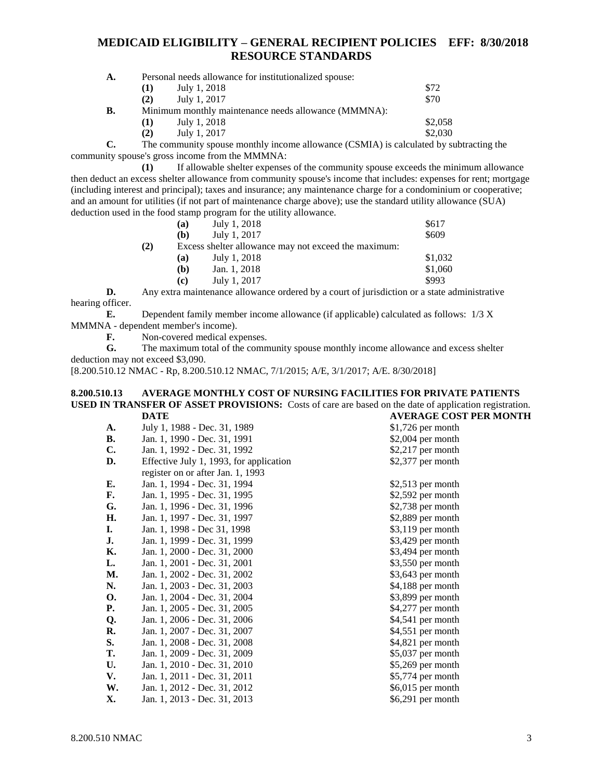| $\mathbf{A}$ . |     | Personal needs allowance for institutionalized spouse: |         |  |
|----------------|-----|--------------------------------------------------------|---------|--|
|                | (1) | July 1, 2018                                           | \$72    |  |
|                | (2) | July 1, 2017                                           | \$70    |  |
| В.             |     | Minimum monthly maintenance needs allowance (MMMNA):   |         |  |
|                | (1) | July 1, 2018                                           | \$2,058 |  |
|                | (2) | July 1, 2017                                           | \$2,030 |  |

**C.** The community spouse monthly income allowance (CSMIA) is calculated by subtracting the community spouse's gross income from the MMMNA:

**(1)** If allowable shelter expenses of the community spouse exceeds the minimum allowance then deduct an excess shelter allowance from community spouse's income that includes: expenses for rent; mortgage (including interest and principal); taxes and insurance; any maintenance charge for a condominium or cooperative; and an amount for utilities (if not part of maintenance charge above); use the standard utility allowance (SUA) deduction used in the food stamp program for the utility allowance.

| July 1, 2018                                         | \$617   |  |
|------------------------------------------------------|---------|--|
| July 1, 2017                                         | \$609   |  |
| Excess shelter allowance may not exceed the maximum: |         |  |
| July 1, 2018                                         | \$1,032 |  |
| Jan. 1, 2018                                         | \$1,060 |  |
| July 1, 2017                                         | \$993   |  |
|                                                      |         |  |

**D.** Any extra maintenance allowance ordered by a court of jurisdiction or a state administrative hearing officer.

**E.** Dependent family member income allowance (if applicable) calculated as follows: 1/3 X MMMNA - dependent member's income).

**F.** Non-covered medical expenses.

**G.** The maximum total of the community spouse monthly income allowance and excess shelter deduction may not exceed \$3,090.

[8.200.510.12 NMAC - Rp, 8.200.510.12 NMAC, 7/1/2015; A/E, 3/1/2017; A/E. 8/30/2018]

#### <span id="page-3-0"></span>**8.200.510.13 AVERAGE MONTHLY COST OF NURSING FACILITIES FOR PRIVATE PATIENTS USED IN TRANSFER OF ASSET PROVISIONS:** Costs of care are based on the date of application registration. **DATE AVERAGE COST PER MONTH**

| A.        | July 1, 1988 - Dec. 31, 1989            | $$1,726$ per month |
|-----------|-----------------------------------------|--------------------|
| В.        | Jan. 1, 1990 - Dec. 31, 1991            | $$2,004$ per month |
| C.        | Jan. 1, 1992 - Dec. 31, 1992            | $$2,217$ per month |
| D.        | Effective July 1, 1993, for application | \$2,377 per month  |
|           | register on or after Jan. 1, 1993       |                    |
| Е.        | Jan. 1, 1994 - Dec. 31, 1994            | $$2,513$ per month |
| F.        | Jan. 1, 1995 - Dec. 31, 1995            | $$2,592$ per month |
| G.        | Jan. 1, 1996 - Dec. 31, 1996            | $$2,738$ per month |
| Н.        | Jan. 1, 1997 - Dec. 31, 1997            | \$2,889 per month  |
| I.        | Jan. 1, 1998 - Dec 31, 1998             | $$3,119$ per month |
| J.        | Jan. 1, 1999 - Dec. 31, 1999            | $$3,429$ per month |
| Κ.        | Jan. 1, 2000 - Dec. 31, 2000            | \$3,494 per month  |
| L.        | Jan. 1, 2001 - Dec. 31, 2001            | \$3,550 per month  |
| М.        | Jan. 1, 2002 - Dec. 31, 2002            | \$3,643 per month  |
| N.        | Jan. 1, 2003 - Dec. 31, 2003            | \$4,188 per month  |
| О.        | Jan. 1, 2004 - Dec. 31, 2004            | \$3,899 per month  |
| <b>P.</b> | Jan. 1, 2005 - Dec. 31, 2005            | \$4,277 per month  |
| Q.        | Jan. 1, 2006 - Dec. 31, 2006            | \$4,541 per month  |
| R.        | Jan. 1, 2007 - Dec. 31, 2007            | $$4,551$ per month |
| S.        | Jan. 1, 2008 - Dec. 31, 2008            | \$4,821 per month  |
| Т.        | Jan. 1, 2009 - Dec. 31, 2009            | $$5,037$ per month |
| U.        | Jan. 1, 2010 - Dec. 31, 2010            | \$5,269 per month  |
| V.        | Jan. 1, 2011 - Dec. 31, 2011            | \$5,774 per month  |
| W.        | Jan. 1, 2012 - Dec. 31, 2012            | \$6,015 per month  |
| Х.        | Jan. 1, 2013 - Dec. 31, 2013            | $$6,291$ per month |
|           |                                         |                    |